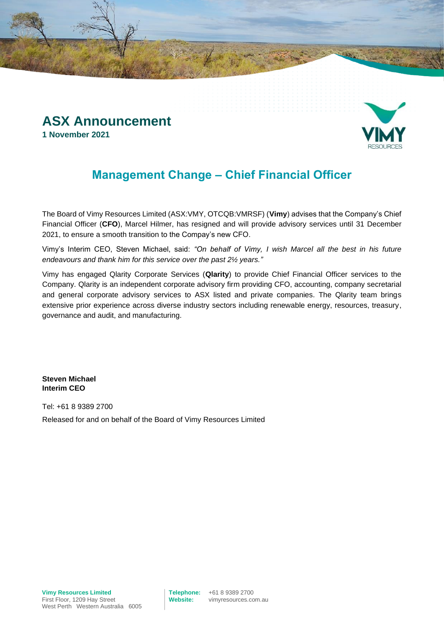

## **Management Change – Chief Financial Officer**

The Board of Vimy Resources Limited (ASX:VMY, OTCQB:VMRSF) (**Vimy**) advises that the Company's Chief Financial Officer (**CFO**), Marcel Hilmer, has resigned and will provide advisory services until 31 December 2021, to ensure a smooth transition to the Compay's new CFO.

Vimy's Interim CEO, Steven Michael, said: *"On behalf of Vimy, I wish Marcel all the best in his future endeavours and thank him for this service over the past 2½ years."*

Vimy has engaged Qlarity Corporate Services (**Qlarity**) to provide Chief Financial Officer services to the Company. Qlarity is an independent corporate advisory firm providing CFO, accounting, company secretarial and general corporate advisory services to ASX listed and private companies. The Qlarity team brings extensive prior experience across diverse industry sectors including renewable energy, resources, treasury, governance and audit, and manufacturing.

**Steven Michael Interim CEO**

Tel: +61 8 9389 2700 Released for and on behalf of the Board of Vimy Resources Limited